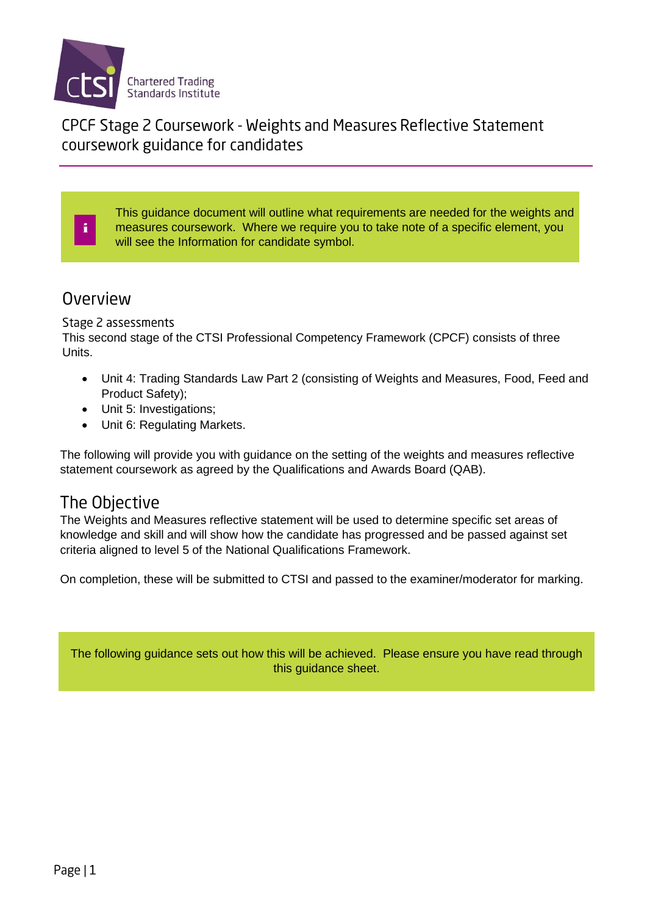

CPCF Stage 2 Coursework - Weights and Measures Reflective Statement coursework guidance for candidates

This guidance document will outline what requirements are needed for the weights and measures coursework. Where we require you to take note of a specific element, you will see the Information for candidate symbol.

#### Overview

i

#### Stage 2 assessments

This second stage of the CTSI Professional Competency Framework (CPCF) consists of three Units.

- Unit 4: Trading Standards Law Part 2 (consisting of Weights and Measures, Food, Feed and Product Safety);
- Unit 5: Investigations;
- Unit 6: Regulating Markets.

The following will provide you with guidance on the setting of the weights and measures reflective statement coursework as agreed by the Qualifications and Awards Board (QAB).

## The Objective

The Weights and Measures reflective statement will be used to determine specific set areas of knowledge and skill and will show how the candidate has progressed and be passed against set criteria aligned to level 5 of the National Qualifications Framework.

On completion, these will be submitted to CTSI and passed to the examiner/moderator for marking.

The following guidance sets out how this will be achieved. Please ensure you have read through this guidance sheet.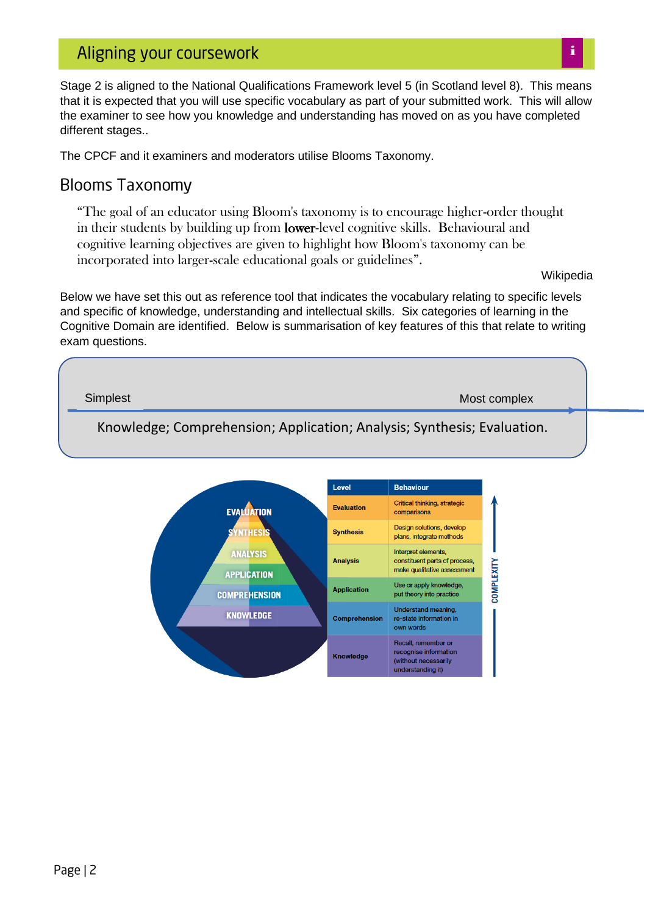Stage 2 is aligned to the National Qualifications Framework level 5 (in Scotland level 8). This means that it is expected that you will use specific vocabulary as part of your submitted work. This will allow the examiner to see how you knowledge and understanding has moved on as you have completed different stages..

The CPCF and it examiners and moderators utilise Blooms Taxonomy.

#### **Blooms Taxonomy**

"The goal of an educator using Bloom's taxonomy is to encourage higher-order thought in their students by building up from lower-level cognitive skills. Behavioural and cognitive learning objectives are given to highlight how Bloom's taxonomy can be incorporated into larger-scale educational goals or guidelines".

Wikipedia

Below we have set this out as reference tool that indicates the vocabulary relating to specific levels and specific of knowledge, understanding and intellectual skills. Six categories of learning in the Cognitive Domain are identified. Below is summarisation of key features of this that relate to writing exam questions.

Knowledge; Comprehension; Application; Analysis; Synthesis; Evaluation. Simplest Most complex Most complex Most complex Most complex Most complex Most complex

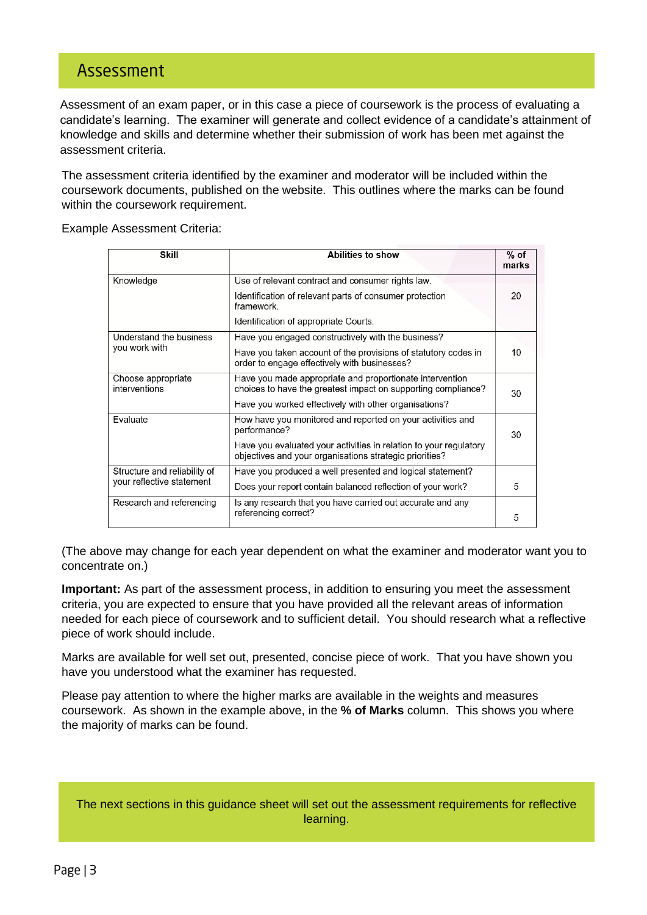## Assessment

Assessment of an exam paper, or in this case a piece of coursework is the process of evaluating a candidate's learning. The examiner will generate and collect evidence of a candidate's attainment of knowledge and skills and determine whether their submission of work has been met against the assessment criteria.

The assessment criteria identified by the examiner and moderator will be included within the coursework documents, published on the website. This outlines where the marks can be found within the coursework requirement.

Example Assessment Criteria:

| <b>Skill</b>                                              | Abilities to show                                                                                                            | $%$ of<br>marks |
|-----------------------------------------------------------|------------------------------------------------------------------------------------------------------------------------------|-----------------|
| Knowledge                                                 | Use of relevant contract and consumer rights law.                                                                            |                 |
|                                                           | Identification of relevant parts of consumer protection<br>framework.                                                        | 20              |
|                                                           | Identification of appropriate Courts.                                                                                        |                 |
| Understand the business<br>you work with                  | Have you engaged constructively with the business?                                                                           |                 |
|                                                           | Have you taken account of the provisions of statutory codes in<br>order to engage effectively with businesses?               | 10              |
| Choose appropriate<br>interventions                       | Have you made appropriate and proportionate intervention<br>choices to have the greatest impact on supporting compliance?    | 30              |
|                                                           | Have you worked effectively with other organisations?                                                                        |                 |
| Evaluate                                                  | How have you monitored and reported on your activities and<br>performance?                                                   | 30              |
|                                                           | Have you evaluated your activities in relation to your regulatory<br>objectives and your organisations strategic priorities? |                 |
| Structure and reliability of<br>your reflective statement | Have you produced a well presented and logical statement?                                                                    |                 |
|                                                           | Does your report contain balanced reflection of your work?                                                                   | 5               |
| Research and referencing                                  | Is any research that you have carried out accurate and any<br>referencing correct?                                           | 5               |

(The above may change for each year dependent on what the examiner and moderator want you to concentrate on.)

**Important:** As part of the assessment process, in addition to ensuring you meet the assessment criteria, you are expected to ensure that you have provided all the relevant areas of information needed for each piece of coursework and to sufficient detail. You should research what a reflective piece of work should include.

Marks are available for well set out, presented, concise piece of work. That you have shown you have you understood what the examiner has requested.

Please pay attention to where the higher marks are available in the weights and measures coursework. As shown in the example above, in the **% of Marks** column. This shows you where the majority of marks can be found.

The next sections in this guidance sheet will set out the assessment requirements for reflective learning.